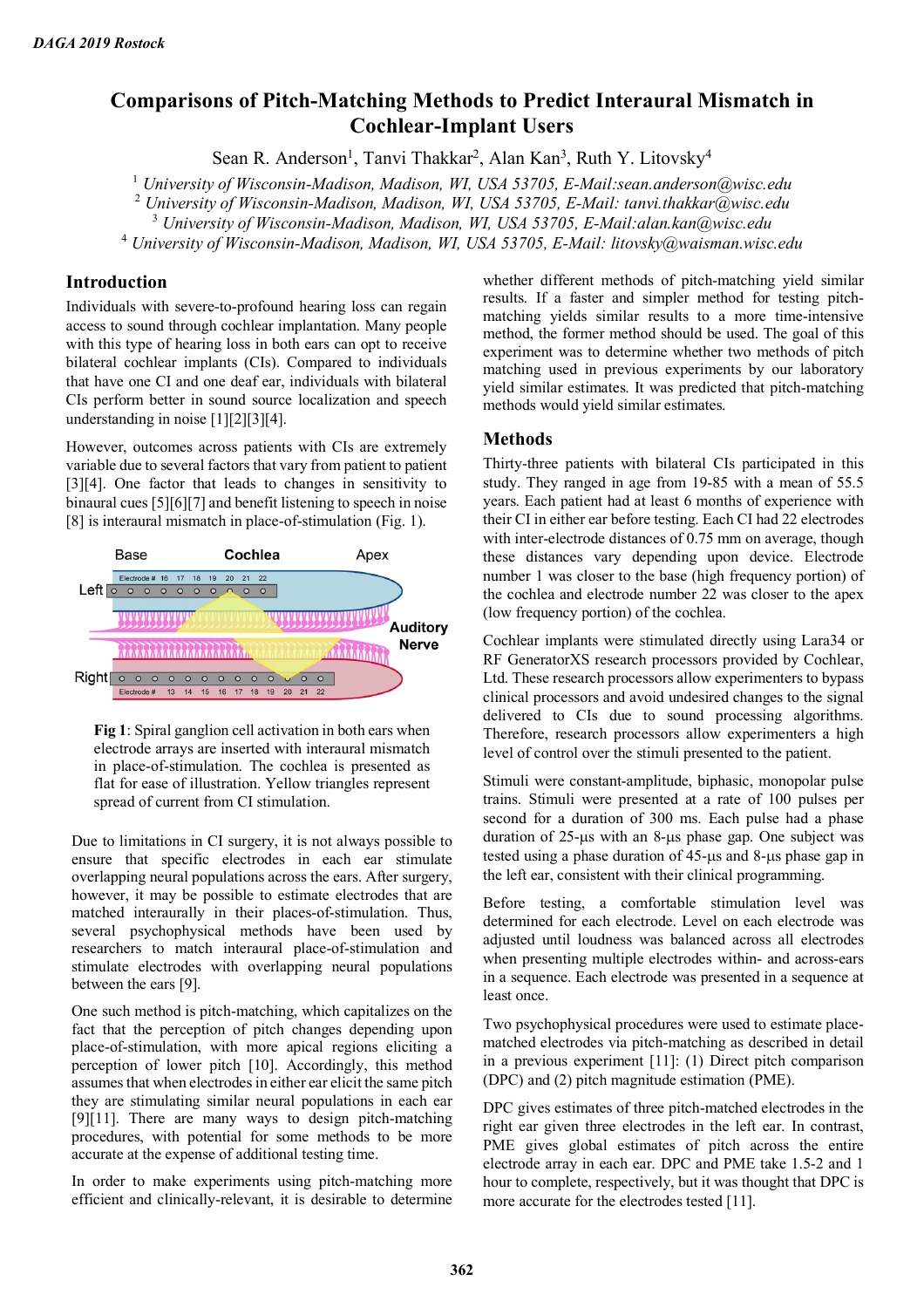# **Comparisons of Pitch-Matching Methods to Predict Interaural Mismatch in Cochlear-Implant Users**

Sean R. Anderson<sup>1</sup>, Tanvi Thakkar<sup>2</sup>, Alan Kan<sup>3</sup>, Ruth Y. Litovsky<sup>4</sup>

<sup>1</sup> *University of Wisconsin-Madison, Madison, WI, USA 53705, E-Mail:sean.anderson@wisc.edu*

<sup>2</sup> *University of Wisconsin-Madison, Madison, WI, USA 53705, E-Mail: tanvi.thakkar@wisc.edu*

<sup>3</sup> *University of Wisconsin-Madison, Madison, WI, USA 53705, E-Mail:alan.kan@wisc.edu*

<sup>4</sup> *University of Wisconsin-Madison, Madison, WI, USA 53705, E-Mail: litovsky@waisman.wisc.edu*

# **Introduction**

Individuals with severe-to-profound hearing loss can regain access to sound through cochlear implantation. Many people with this type of hearing loss in both ears can opt to receive bilateral cochlear implants (CIs). Compared to individuals that have one CI and one deaf ear, individuals with bilateral CIs perform better in sound source localization and speech understanding in noise [1][2][3][4].

However, outcomes across patients with CIs are extremely variable due to several factors that vary from patient to patient [3][4]. One factor that leads to changes in sensitivity to binaural cues [5][6][7] and benefit listening to speech in noise [8] is interaural mismatch in place-of-stimulation (Fig. 1).



**Fig 1**: Spiral ganglion cell activation in both ears when electrode arrays are inserted with interaural mismatch in place-of-stimulation. The cochlea is presented as flat for ease of illustration. Yellow triangles represent spread of current from CI stimulation.

Due to limitations in CI surgery, it is not always possible to ensure that specific electrodes in each ear stimulate overlapping neural populations across the ears. After surgery, however, it may be possible to estimate electrodes that are matched interaurally in their places-of-stimulation. Thus, several psychophysical methods have been used by researchers to match interaural place-of-stimulation and stimulate electrodes with overlapping neural populations between the ears [9].

One such method is pitch-matching, which capitalizes on the fact that the perception of pitch changes depending upon place-of-stimulation, with more apical regions eliciting a perception of lower pitch [10]. Accordingly, this method assumes that when electrodes in either ear elicit the same pitch they are stimulating similar neural populations in each ear [9][11]. There are many ways to design pitch-matching procedures, with potential for some methods to be more accurate at the expense of additional testing time.

In order to make experiments using pitch-matching more efficient and clinically-relevant, it is desirable to determine whether different methods of pitch-matching yield similar results. If a faster and simpler method for testing pitchmatching yields similar results to a more time-intensive method, the former method should be used. The goal of this experiment was to determine whether two methods of pitch matching used in previous experiments by our laboratory yield similar estimates. It was predicted that pitch-matching methods would yield similar estimates.

## **Methods**

Thirty-three patients with bilateral CIs participated in this study. They ranged in age from 19-85 with a mean of 55.5 years. Each patient had at least 6 months of experience with their CI in either ear before testing. Each CI had 22 electrodes with inter-electrode distances of 0.75 mm on average, though these distances vary depending upon device. Electrode number 1 was closer to the base (high frequency portion) of the cochlea and electrode number 22 was closer to the apex (low frequency portion) of the cochlea.

Cochlear implants were stimulated directly using Lara34 or RF GeneratorXS research processors provided by Cochlear, Ltd. These research processors allow experimenters to bypass clinical processors and avoid undesired changes to the signal delivered to CIs due to sound processing algorithms. Therefore, research processors allow experimenters a high level of control over the stimuli presented to the patient.

Stimuli were constant-amplitude, biphasic, monopolar pulse trains. Stimuli were presented at a rate of 100 pulses per second for a duration of 300 ms. Each pulse had a phase duration of 25-µs with an 8-µs phase gap. One subject was tested using a phase duration of 45-µs and 8-µs phase gap in the left ear, consistent with their clinical programming.

Before testing, a comfortable stimulation level was determined for each electrode. Level on each electrode was adjusted until loudness was balanced across all electrodes when presenting multiple electrodes within- and across-ears in a sequence. Each electrode was presented in a sequence at least once.

Two psychophysical procedures were used to estimate placematched electrodes via pitch-matching as described in detail in a previous experiment [11]: (1) Direct pitch comparison (DPC) and (2) pitch magnitude estimation (PME).

DPC gives estimates of three pitch-matched electrodes in the right ear given three electrodes in the left ear. In contrast, PME gives global estimates of pitch across the entire electrode array in each ear. DPC and PME take 1.5-2 and 1 hour to complete, respectively, but it was thought that DPC is more accurate for the electrodes tested [11].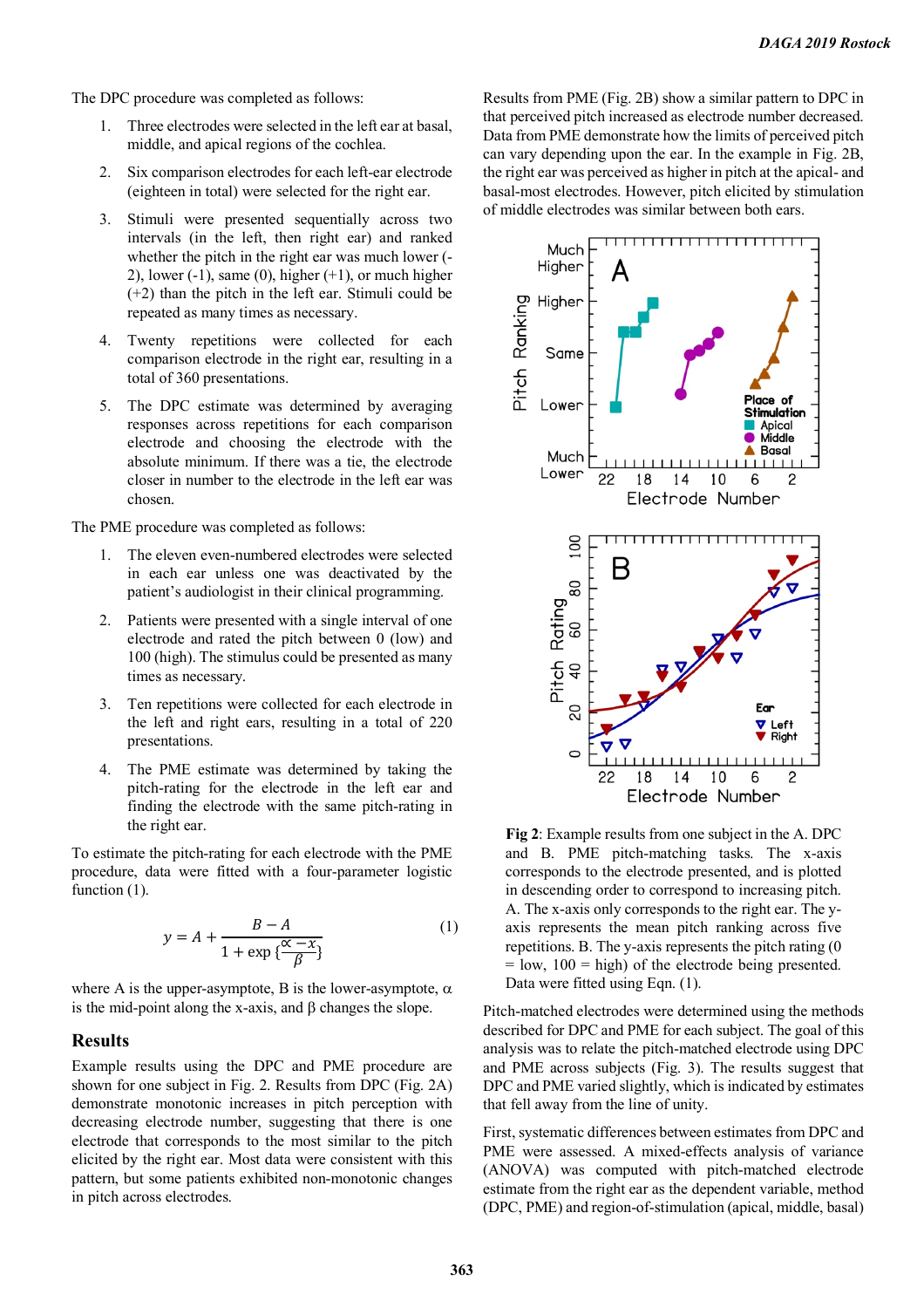The DPC procedure was completed as follows:

- 1. Three electrodes were selected in the left ear at basal, middle, and apical regions of the cochlea.
- 2. Six comparison electrodes for each left-ear electrode (eighteen in total) were selected for the right ear.
- 3. Stimuli were presented sequentially across two intervals (in the left, then right ear) and ranked whether the pitch in the right ear was much lower (- 2), lower  $(-1)$ , same  $(0)$ , higher  $(+1)$ , or much higher (+2) than the pitch in the left ear. Stimuli could be repeated as many times as necessary.
- 4. Twenty repetitions were collected for each comparison electrode in the right ear, resulting in a total of 360 presentations.
- 5. The DPC estimate was determined by averaging responses across repetitions for each comparison electrode and choosing the electrode with the absolute minimum. If there was a tie, the electrode closer in number to the electrode in the left ear was chosen.

The PME procedure was completed as follows:

- 1. The eleven even-numbered electrodes were selected in each ear unless one was deactivated by the patient's audiologist in their clinical programming.
- 2. Patients were presented with a single interval of one electrode and rated the pitch between 0 (low) and 100 (high). The stimulus could be presented as many times as necessary.
- 3. Ten repetitions were collected for each electrode in the left and right ears, resulting in a total of 220 presentations.
- 4. The PME estimate was determined by taking the pitch-rating for the electrode in the left ear and finding the electrode with the same pitch-rating in the right ear.

To estimate the pitch-rating for each electrode with the PME procedure, data were fitted with a four-parameter logistic function  $(1)$ .

$$
y = A + \frac{B - A}{1 + \exp{\frac{\alpha - x}{\beta}}}
$$
 (1)

where A is the upper-asymptote, B is the lower-asymptote,  $\alpha$ is the mid-point along the x-axis, and  $\beta$  changes the slope.

#### **Results**

Example results using the DPC and PME procedure are shown for one subject in Fig. 2. Results from DPC (Fig. 2A) demonstrate monotonic increases in pitch perception with decreasing electrode number, suggesting that there is one electrode that corresponds to the most similar to the pitch elicited by the right ear. Most data were consistent with this pattern, but some patients exhibited non-monotonic changes in pitch across electrodes.

Results from PME (Fig. 2B) show a similar pattern to DPC in that perceived pitch increased as electrode number decreased. Data from PME demonstrate how the limits of perceived pitch can vary depending upon the ear. In the example in Fig. 2B, the right ear was perceived as higher in pitch at the apical- and basal-most electrodes. However, pitch elicited by stimulation of middle electrodes was similar between both ears.



**Fig 2**: Example results from one subject in the A. DPC and B. PME pitch-matching tasks. The x-axis corresponds to the electrode presented, and is plotted in descending order to correspond to increasing pitch. A. The x-axis only corresponds to the right ear. The yaxis represents the mean pitch ranking across five repetitions. B. The y-axis represents the pitch rating (0  $=$  low,  $100 =$  high) of the electrode being presented. Data were fitted using Eqn. (1).

Pitch-matched electrodes were determined using the methods described for DPC and PME for each subject. The goal of this analysis was to relate the pitch-matched electrode using DPC and PME across subjects (Fig. 3). The results suggest that DPC and PME varied slightly, which is indicated by estimates that fell away from the line of unity.

First, systematic differences between estimates from DPC and PME were assessed. A mixed-effects analysis of variance (ANOVA) was computed with pitch-matched electrode estimate from the right ear as the dependent variable, method (DPC, PME) and region-of-stimulation (apical, middle, basal)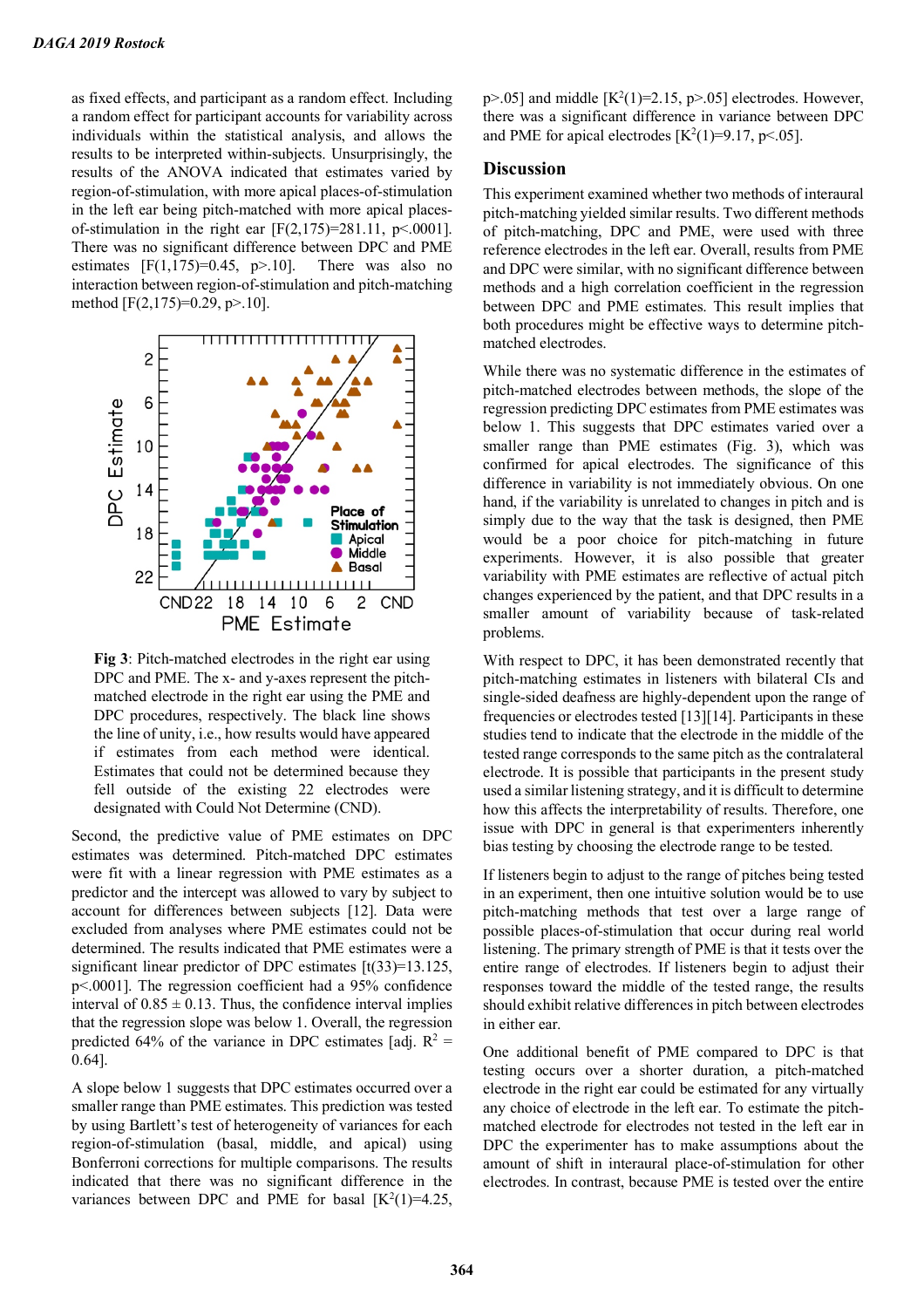as fixed effects, and participant as a random effect. Including a random effect for participant accounts for variability across individuals within the statistical analysis, and allows the results to be interpreted within-subjects. Unsurprisingly, the results of the ANOVA indicated that estimates varied by region-of-stimulation, with more apical places-of-stimulation in the left ear being pitch-matched with more apical placesof-stimulation in the right ear [F(2,175)=281.11, p < 0001]. There was no significant difference between DPC and PME estimates  $[F(1,175)=0.45, p>10]$ . There was also no interaction between region-of-stimulation and pitch-matching method [F(2,175)=0.29, p>.10].



**Fig 3**: Pitch-matched electrodes in the right ear using DPC and PME. The x- and y-axes represent the pitchmatched electrode in the right ear using the PME and DPC procedures, respectively. The black line shows the line of unity, i.e., how results would have appeared if estimates from each method were identical. Estimates that could not be determined because they fell outside of the existing 22 electrodes were designated with Could Not Determine (CND).

Second, the predictive value of PME estimates on DPC estimates was determined. Pitch-matched DPC estimates were fit with a linear regression with PME estimates as a predictor and the intercept was allowed to vary by subject to account for differences between subjects [12]. Data were excluded from analyses where PME estimates could not be determined. The results indicated that PME estimates were a significant linear predictor of DPC estimates  $[t(33)=13.125]$ , p<.0001]. The regression coefficient had a 95% confidence interval of  $0.85 \pm 0.13$ . Thus, the confidence interval implies that the regression slope was below 1. Overall, the regression predicted 64% of the variance in DPC estimates [adj.  $R^2$  = 0.64].

A slope below 1 suggests that DPC estimates occurred over a smaller range than PME estimates. This prediction was tested by using Bartlett's test of heterogeneity of variances for each region-of-stimulation (basal, middle, and apical) using Bonferroni corrections for multiple comparisons. The results indicated that there was no significant difference in the variances between DPC and PME for basal  $[K^2(1)=4.25]$ ,

 $p$ >.05] and middle [K<sup>2</sup>(1)=2.15,  $p$ >.05] electrodes. However, there was a significant difference in variance between DPC and PME for apical electrodes  $[K^2(1)=9.17, p<.05]$ .

## **Discussion**

This experiment examined whether two methods of interaural pitch-matching yielded similar results. Two different methods of pitch-matching, DPC and PME, were used with three reference electrodes in the left ear. Overall, results from PME and DPC were similar, with no significant difference between methods and a high correlation coefficient in the regression between DPC and PME estimates. This result implies that both procedures might be effective ways to determine pitchmatched electrodes.

While there was no systematic difference in the estimates of pitch-matched electrodes between methods, the slope of the regression predicting DPC estimates from PME estimates was below 1. This suggests that DPC estimates varied over a smaller range than PME estimates (Fig. 3), which was confirmed for apical electrodes. The significance of this difference in variability is not immediately obvious. On one hand, if the variability is unrelated to changes in pitch and is simply due to the way that the task is designed, then PME would be a poor choice for pitch-matching in future experiments. However, it is also possible that greater variability with PME estimates are reflective of actual pitch changes experienced by the patient, and that DPC results in a smaller amount of variability because of task-related problems.

With respect to DPC, it has been demonstrated recently that pitch-matching estimates in listeners with bilateral CIs and single-sided deafness are highly-dependent upon the range of frequencies or electrodes tested [13][14]. Participants in these studies tend to indicate that the electrode in the middle of the tested range corresponds to the same pitch as the contralateral electrode. It is possible that participants in the present study used a similar listening strategy, and it is difficult to determine how this affects the interpretability of results. Therefore, one issue with DPC in general is that experimenters inherently bias testing by choosing the electrode range to be tested.

If listeners begin to adjust to the range of pitches being tested in an experiment, then one intuitive solution would be to use pitch-matching methods that test over a large range of possible places-of-stimulation that occur during real world listening. The primary strength of PME is that it tests over the entire range of electrodes. If listeners begin to adjust their responses toward the middle of the tested range, the results should exhibit relative differences in pitch between electrodes in either ear.

One additional benefit of PME compared to DPC is that testing occurs over a shorter duration, a pitch-matched electrode in the right ear could be estimated for any virtually any choice of electrode in the left ear. To estimate the pitchmatched electrode for electrodes not tested in the left ear in DPC the experimenter has to make assumptions about the amount of shift in interaural place-of-stimulation for other electrodes. In contrast, because PME is tested over the entire